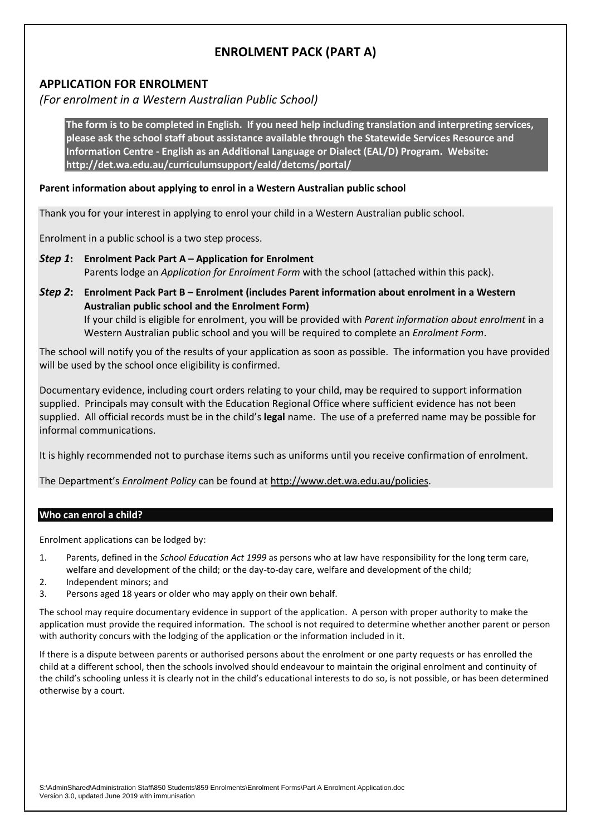# **ENROLMENT PACK (PART A)**

## **APPLICATION FOR ENROLMENT**

*(For enrolment in a Western Australian Public School)*

**The form is to be completed in English. If you need help including translation and interpreting services, please ask the school staff about assistance available through the Statewide Services Resource and Information Centre - English as an Additional Language or Dialect (EAL/D) Program. Website: <http://det.wa.edu.au/curriculumsupport/eald/detcms/portal/>**

### **Parent information about applying to enrol in a Western Australian public school**

Thank you for your interest in applying to enrol your child in a Western Australian public school.

Enrolment in a public school is a two step process.

- *Step 1***: Enrolment Pack Part A – Application for Enrolment** Parents lodge an *Application for Enrolment Form* with the school (attached within this pack).
- *Step 2***: Enrolment Pack Part B – Enrolment (includes Parent information about enrolment in a Western Australian public school and the Enrolment Form)** If your child is eligible for enrolment, you will be provided with *Parent information about enrolment* in a Western Australian public school and you will be required to complete an *Enrolment Form*.

The school will notify you of the results of your application as soon as possible. The information you have provided will be used by the school once eligibility is confirmed.

Documentary evidence, including court orders relating to your child, may be required to support information supplied. Principals may consult with the Education Regional Office where sufficient evidence has not been supplied. All official records must be in the child's **legal** name. The use of a preferred name may be possible for informal communications.

It is highly recommended not to purchase items such as uniforms until you receive confirmation of enrolment.

The Department's *Enrolment Policy* can be found at [http://www.det.wa.edu.au/policies.](http://www.det.wa.edu.au/policies)

### **Who can enrol a child?**

Enrolment applications can be lodged by:

- 1. Parents, defined in the *School Education Act 1999* as persons who at law have responsibility for the long term care, welfare and development of the child; or the day-to-day care, welfare and development of the child;
- 2. Independent minors; and
- 3. Persons aged 18 years or older who may apply on their own behalf.

The school may require documentary evidence in support of the application. A person with proper authority to make the application must provide the required information. The school is not required to determine whether another parent or person with authority concurs with the lodging of the application or the information included in it.

If there is a dispute between parents or authorised persons about the enrolment or one party requests or has enrolled the child at a different school, then the schools involved should endeavour to maintain the original enrolment and continuity of the child's schooling unless it is clearly not in the child's educational interests to do so, is not possible, or has been determined otherwise by a court.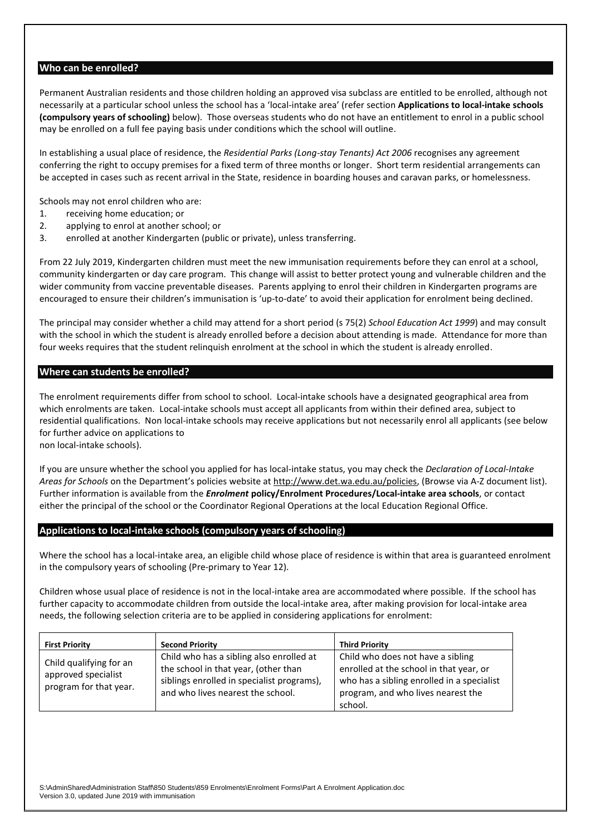### **Who can be enrolled?**

Permanent Australian residents and those children holding an approved visa subclass are entitled to be enrolled, although not necessarily at a particular school unless the school has a 'local-intake area' (refer section **Applications to local-intake schools (compulsory years of schooling)** below). Those overseas students who do not have an entitlement to enrol in a public school may be enrolled on a full fee paying basis under conditions which the school will outline.

In establishing a usual place of residence, the *Residential Parks (Long-stay Tenants) Act 2006* recognises any agreement conferring the right to occupy premises for a fixed term of three months or longer. Short term residential arrangements can be accepted in cases such as recent arrival in the State, residence in boarding houses and caravan parks, or homelessness.

Schools may not enrol children who are:

- 1. receiving home education; or
- 2. applying to enrol at another school; or
- 3. enrolled at another Kindergarten (public or private), unless transferring.

From 22 July 2019, Kindergarten children must meet the new immunisation requirements before they can enrol at a school, community kindergarten or day care program. This change will assist to better protect young and vulnerable children and the wider community from vaccine preventable diseases. Parents applying to enrol their children in Kindergarten programs are encouraged to ensure their children's immunisation is 'up-to-date' to avoid their application for enrolment being declined.

The principal may consider whether a child may attend for a short period (s 75(2) *School Education Act 1999*) and may consult with the school in which the student is already enrolled before a decision about attending is made. Attendance for more than four weeks requires that the student relinquish enrolment at the school in which the student is already enrolled.

#### **Where can students be enrolled?**

The enrolment requirements differ from school to school. Local-intake schools have a designated geographical area from which enrolments are taken. Local-intake schools must accept all applicants from within their defined area, subject to residential qualifications. Non local-intake schools may receive applications but not necessarily enrol all applicants (see below for further advice on applications to

non local-intake schools).

If you are unsure whether the school you applied for has local-intake status, you may check the *Declaration of Local-Intake Areas for Schools* on the Department's policies website a[t http://www.det.wa.edu.au/policies,](http://www.det.wa.edu.au/policies) (Browse via A-Z document list). Further information is available from the *Enrolment* **policy/Enrolment Procedures/Local-intake area schools**, or contact either the principal of the school or the Coordinator Regional Operations at the local Education Regional Office.

### **Applications to local-intake schools (compulsory years of schooling)**

Where the school has a local-intake area, an eligible child whose place of residence is within that area is guaranteed enrolment in the compulsory years of schooling (Pre-primary to Year 12).

Children whose usual place of residence is not in the local-intake area are accommodated where possible. If the school has further capacity to accommodate children from outside the local-intake area, after making provision for local-intake area needs, the following selection criteria are to be applied in considering applications for enrolment:

| <b>First Priority</b>                                                    | <b>Second Priority</b>                                                                                                                                              | <b>Third Priority</b>                                                                                                                                                       |
|--------------------------------------------------------------------------|---------------------------------------------------------------------------------------------------------------------------------------------------------------------|-----------------------------------------------------------------------------------------------------------------------------------------------------------------------------|
| Child qualifying for an<br>approved specialist<br>program for that year. | Child who has a sibling also enrolled at<br>the school in that year, (other than<br>siblings enrolled in specialist programs),<br>and who lives nearest the school. | Child who does not have a sibling<br>enrolled at the school in that year, or<br>who has a sibling enrolled in a specialist<br>program, and who lives nearest the<br>school. |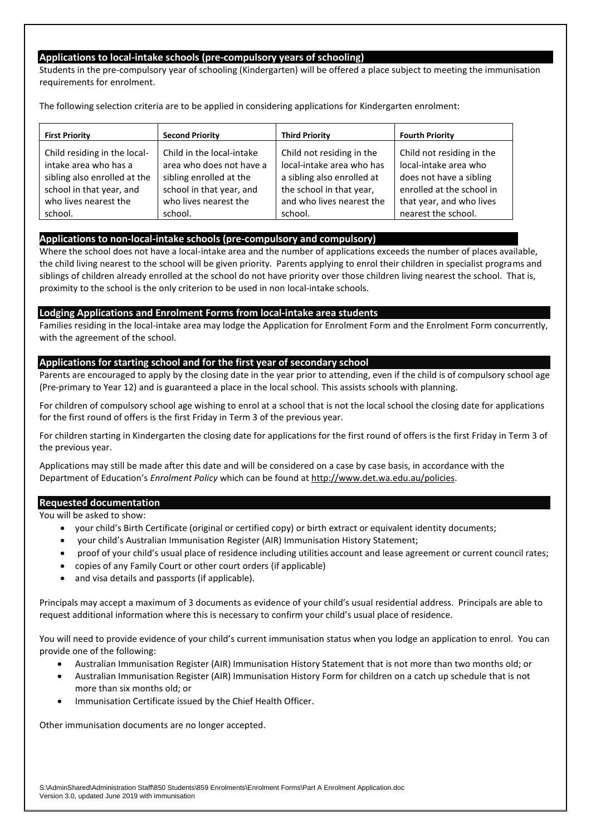### **Applications to local-intake schools (pre-compulsory years of schooling)**

Students in the pre-compulsory year of schooling (Kindergarten) will be offered a place subject to meeting the immunisation requirements for enrolment.

The following selection criteria are to be applied in considering applications for Kindergarten enrolment:

| <b>First Priority</b>        | <b>Second Priority</b>    | <b>Third Priority</b>      | <b>Fourth Priority</b>    |
|------------------------------|---------------------------|----------------------------|---------------------------|
| Child residing in the local- | Child in the local-intake | Child not residing in the  | Child not residing in the |
| intake area who has a        | area who does not have a  | local-intake area who has  | local-intake area who     |
| sibling also enrolled at the | sibling enrolled at the   | a sibling also enrolled at | does not have a sibling   |
| school in that year, and     | school in that year, and  | the school in that year,   | enrolled at the school in |
| who lives nearest the        | who lives nearest the     | and who lives nearest the  | that year, and who lives  |
| school.                      | school.                   | school.                    | nearest the school.       |

### **Applications to non-local-intake schools (pre-compulsory and compulsory)**

Where the school does not have a local-intake area and the number of applications exceeds the number of places available, the child living nearest to the school will be given priority. Parents applying to enrol their children in specialist programs and siblings of children already enrolled at the school do not have priority over those children living nearest the school. That is, proximity to the school is the only criterion to be used in non local-intake schools.

### **Lodging Applications and Enrolment Forms from local-intake area students**

Families residing in the local-intake area may lodge the Application for Enrolment Form and the Enrolment Form concurrently, with the agreement of the school.

### **Applications for starting school and for the first year of secondary school**

Parents are encouraged to apply by the closing date in the year prior to attending, even if the child is of compulsory school age (Pre-primary to Year 12) and is guaranteed a place in the local school. This assists schools with planning.

For children of compulsory school age wishing to enrol at a school that is not the local school the closing date for applications for the first round of offers is the first Friday in Term 3 of the previous year.

For children starting in Kindergarten the closing date for applications for the first round of offers is the first Friday in Term 3 of the previous year.

Applications may still be made after this date and will be considered on a case by case basis, in accordance with the Department of Education's *Enrolment Policy* which can be found a[t http://www.det.wa.edu.au/policies.](http://www.det.wa.edu.au/policies)

### **Requested documentation**

You will be asked to show:

- your child's Birth Certificate (original or certified copy) or birth extract or equivalent identity documents;
- your child's Australian Immunisation Register (AIR) Immunisation History Statement;
- proof of your child's usual place of residence including utilities account and lease agreement or current council rates;
- copies of any Family Court or other court orders (if applicable)
- and visa details and passports (if applicable).

Principals may accept a maximum of 3 documents as evidence of your child's usual residential address. Principals are able to request additional information where this is necessary to confirm your child's usual place of residence.

You will need to provide evidence of your child's current immunisation status when you lodge an application to enrol. You can provide one of the following:

- Australian Immunisation Register (AIR) Immunisation History Statement that is not more than two months old; or
- Australian Immunisation Register (AIR) Immunisation History Form for children on a catch up schedule that is not more than six months old; or
- Immunisation Certificate issued by the Chief Health Officer.

Other immunisation documents are no longer accepted.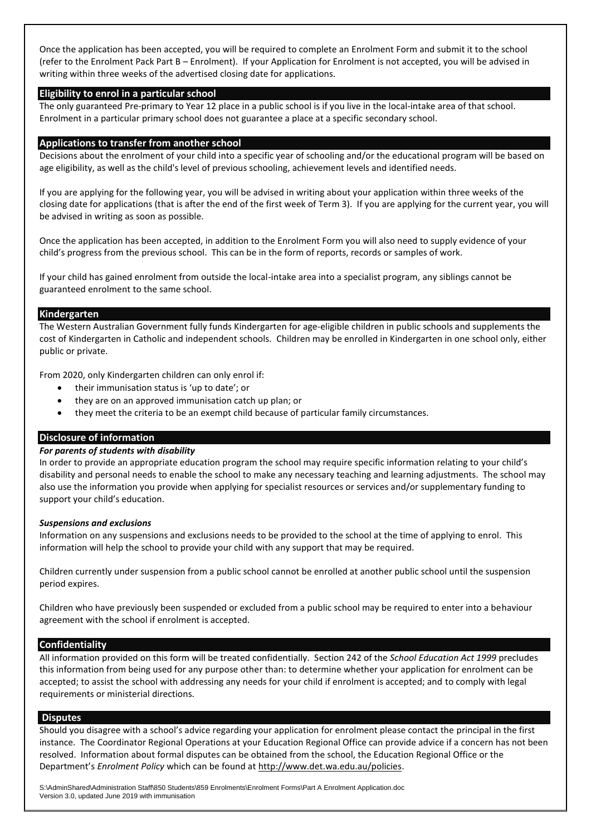Once the application has been accepted, you will be required to complete an Enrolment Form and submit it to the school (refer to the Enrolment Pack Part B – Enrolment). If your Application for Enrolment is not accepted, you will be advised in writing within three weeks of the advertised closing date for applications.

### **Eligibility to enrol in a particular school**

The only guaranteed Pre-primary to Year 12 place in a public school is if you live in the local-intake area of that school. Enrolment in a particular primary school does not guarantee a place at a specific secondary school.

#### **Applications to transfer from another school**

Decisions about the enrolment of your child into a specific year of schooling and/or the educational program will be based on age eligibility, as well as the child's level of previous schooling, achievement levels and identified needs.

If you are applying for the following year, you will be advised in writing about your application within three weeks of the closing date for applications (that is after the end of the first week of Term 3). If you are applying for the current year, you will be advised in writing as soon as possible.

Once the application has been accepted, in addition to the Enrolment Form you will also need to supply evidence of your child's progress from the previous school. This can be in the form of reports, records or samples of work.

If your child has gained enrolment from outside the local-intake area into a specialist program, any siblings cannot be guaranteed enrolment to the same school.

#### **Kindergarten**

The Western Australian Government fully funds Kindergarten for age-eligible children in public schools and supplements the cost of Kindergarten in Catholic and independent schools. Children may be enrolled in Kindergarten in one school only, either public or private.

From 2020, only Kindergarten children can only enrol if:

- their immunisation status is 'up to date'; or
- they are on an approved immunisation catch up plan; or
- they meet the criteria to be an exempt child because of particular family circumstances.

### **Disclosure of information**

### *For parents of students with disability*

In order to provide an appropriate education program the school may require specific information relating to your child's disability and personal needs to enable the school to make any necessary teaching and learning adjustments. The school may also use the information you provide when applying for specialist resources or services and/or supplementary funding to support your child's education.

#### *Suspensions and exclusions*

Information on any suspensions and exclusions needs to be provided to the school at the time of applying to enrol. This information will help the school to provide your child with any support that may be required.

Children currently under suspension from a public school cannot be enrolled at another public school until the suspension period expires.

Children who have previously been suspended or excluded from a public school may be required to enter into a behaviour agreement with the school if enrolment is accepted.

#### **Confidentiality**

All information provided on this form will be treated confidentially. Section 242 of the *School Education Act 1999* precludes this information from being used for any purpose other than: to determine whether your application for enrolment can be accepted; to assist the school with addressing any needs for your child if enrolment is accepted; and to comply with legal requirements or ministerial directions.

#### **Disputes**

Should you disagree with a school's advice regarding your application for enrolment please contact the principal in the first instance. The Coordinator Regional Operations at your Education Regional Office can provide advice if a concern has not been resolved. Information about formal disputes can be obtained from the school, the Education Regional Office or the Department's *Enrolment Policy* which can be found at [http://www.det.wa.edu.au/policies.](http://www.det.wa.edu.au/policies)

S:\AdminShared\Administration Staff\850 Students\859 Enrolments\Enrolment Forms\Part A Enrolment Application.doc Version 3.0, updated June 2019 with immunisation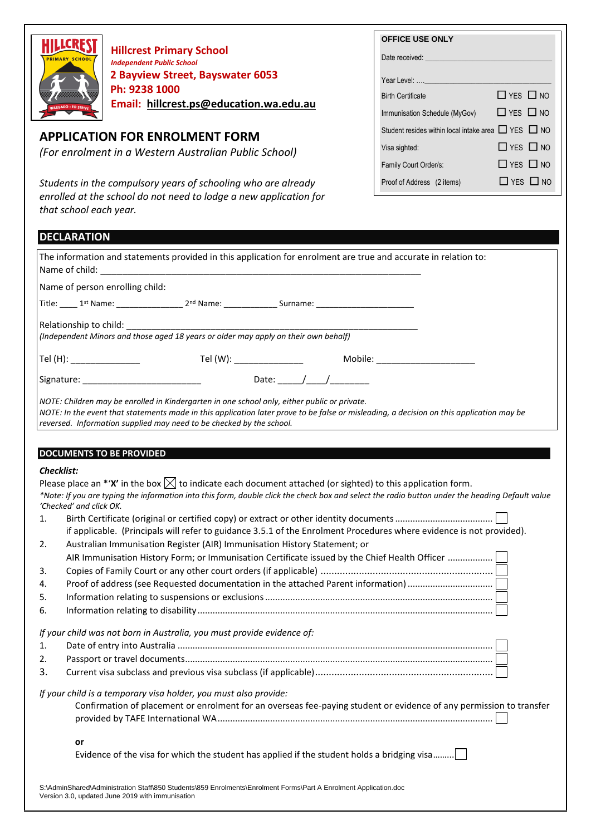

**Hillcrest Primary School** *Independent Public School*  **2 Bayview Street, Bayswater 6053 Ph: 9238 1000 Email: [hillcrest.ps@education.wa.edu.au](mailto:hillcrest.ps@education.wa.edu.au)**

## **APPLICATION FOR ENROLMENT FORM**

*(For enrolment in a Western Australian Public School)*

*Students in the compulsory years of schooling who are already enrolled at the school do not need to lodge a new application for that school each year.*

| <b>OFFICE USE ONLY</b>                              |                      |
|-----------------------------------------------------|----------------------|
| Date received: <b>Example 2014</b>                  |                      |
| Year Level:                                         |                      |
| <b>Birth Certificate</b>                            | $\Box$ YFS $\Box$ NO |
| Immunisation Schedule (MyGov)                       | $\Box$ YES $\Box$ NO |
| Student resides within local intake area T YES T NO |                      |
| Visa sighted:                                       | $\Box$ YFS $\Box$ NO |
| Family Court Order/s:                               | $\Box$ YES $\Box$ NO |
| Proof of Address (2 items)                          | $\Box$ YFS $\Box$ NO |

| <b>DECLARATION</b>                                                                                                                                                                                                                                                                                               |
|------------------------------------------------------------------------------------------------------------------------------------------------------------------------------------------------------------------------------------------------------------------------------------------------------------------|
| The information and statements provided in this application for enrolment are true and accurate in relation to:                                                                                                                                                                                                  |
| Name of person enrolling child:                                                                                                                                                                                                                                                                                  |
|                                                                                                                                                                                                                                                                                                                  |
| Relationship to child: ________________                                                                                                                                                                                                                                                                          |
| Mobile: ________________________                                                                                                                                                                                                                                                                                 |
|                                                                                                                                                                                                                                                                                                                  |
| NOTE: Children may be enrolled in Kindergarten in one school only, either public or private.<br>NOTE: In the event that statements made in this application later prove to be false or misleading, a decision on this application may be<br>reversed. Information supplied may need to be checked by the school. |
| <b>DOCUMENTS TO BE PROVIDED</b>                                                                                                                                                                                                                                                                                  |
| <b>Checklist:</b>                                                                                                                                                                                                                                                                                                |
| Please place an *'X' in the box $\boxtimes$ to indicate each document attached (or sighted) to this application form.                                                                                                                                                                                            |
| *Note: If you are typing the information into this form, double click the check box and select the radio button under the heading Default value<br>'Checked' and click OK.                                                                                                                                       |
| 1.                                                                                                                                                                                                                                                                                                               |
| if applicable. (Principals will refer to guidance 3.5.1 of the Enrolment Procedures where evidence is not provided).                                                                                                                                                                                             |
| Australian Immunisation Register (AIR) Immunisation History Statement; or<br>2.                                                                                                                                                                                                                                  |
| AIR Immunisation History Form; or Immunisation Certificate issued by the Chief Health Officer                                                                                                                                                                                                                    |
| 3.                                                                                                                                                                                                                                                                                                               |
| 4.                                                                                                                                                                                                                                                                                                               |
| 5.                                                                                                                                                                                                                                                                                                               |
| 6.                                                                                                                                                                                                                                                                                                               |
| If your child was not born in Australia, you must provide evidence of:                                                                                                                                                                                                                                           |
| 1.                                                                                                                                                                                                                                                                                                               |
| 2.                                                                                                                                                                                                                                                                                                               |
| 3.                                                                                                                                                                                                                                                                                                               |
| If your child is a temporary visa holder, you must also provide:<br>Confirmation of placement or enrolment for an overseas fee-paying student or evidence of any permission to transfer                                                                                                                          |
|                                                                                                                                                                                                                                                                                                                  |
| or<br>Evidence of the visa for which the student has applied if the student holds a bridging visa                                                                                                                                                                                                                |
|                                                                                                                                                                                                                                                                                                                  |

S:\AdminShared\Administration Staff\850 Students\859 Enrolments\Enrolment Forms\Part A Enrolment Application.doc Version 3.0, updated June 2019 with immunisation